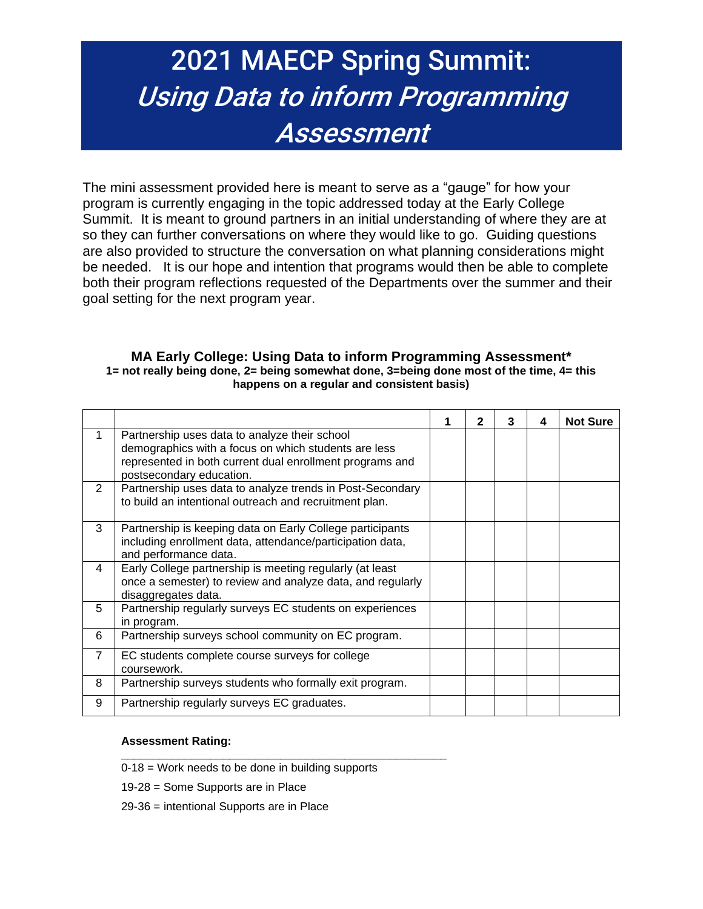# 2021 MAECP Spring Summit: Using Data to inform Programming Assessment

The mini assessment provided here is meant to serve as a "gauge" for how your program is currently engaging in the topic addressed today at the Early College Summit. It is meant to ground partners in an initial understanding of where they are at so they can further conversations on where they would like to go. Guiding questions are also provided to structure the conversation on what planning considerations might be needed. It is our hope and intention that programs would then be able to complete both their program reflections requested of the Departments over the summer and their goal setting for the next program year.

#### **MA Early College: Using Data to inform Programming Assessment\* 1= not really being done, 2= being somewhat done, 3=being done most of the time, 4= this happens on a regular and consistent basis)**

|                |                                                                                                                                                                                               |  | 3 | 4 | <b>Not Sure</b> |
|----------------|-----------------------------------------------------------------------------------------------------------------------------------------------------------------------------------------------|--|---|---|-----------------|
| $\mathbf 1$    | Partnership uses data to analyze their school<br>demographics with a focus on which students are less<br>represented in both current dual enrollment programs and<br>postsecondary education. |  |   |   |                 |
| $\overline{2}$ | Partnership uses data to analyze trends in Post-Secondary<br>to build an intentional outreach and recruitment plan.                                                                           |  |   |   |                 |
| 3              | Partnership is keeping data on Early College participants<br>including enrollment data, attendance/participation data,<br>and performance data.                                               |  |   |   |                 |
| 4              | Early College partnership is meeting regularly (at least<br>once a semester) to review and analyze data, and regularly<br>disaggregates data.                                                 |  |   |   |                 |
| 5              | Partnership regularly surveys EC students on experiences<br>in program.                                                                                                                       |  |   |   |                 |
| 6              | Partnership surveys school community on EC program.                                                                                                                                           |  |   |   |                 |
| $\overline{7}$ | EC students complete course surveys for college<br>coursework.                                                                                                                                |  |   |   |                 |
| 8              | Partnership surveys students who formally exit program.                                                                                                                                       |  |   |   |                 |
| 9              | Partnership regularly surveys EC graduates.                                                                                                                                                   |  |   |   |                 |

#### **Assessment Rating:**

0-18 = Work needs to be done in building supports

**\_\_\_\_\_\_\_\_\_\_\_\_\_\_\_\_\_\_\_\_\_\_\_\_\_\_\_\_\_\_\_\_\_\_\_\_\_\_\_\_\_\_\_\_\_\_\_\_\_\_\_**

19-28 = Some Supports are in Place

29-36 = intentional Supports are in Place